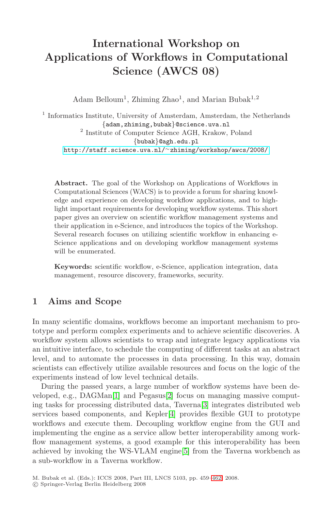# **International Workshop on Applications of Workflows in Computational [Science](http://staff.science.uva.nl/~zhiming/workshop/awcs/2008/) [\(AWCS](http://staff.science.uva.nl/~zhiming/workshop/awcs/2008/) [0](http://staff.science.uva.nl/~zhiming/workshop/awcs/2008/)8)**

Adam Belloum<sup>1</sup>, Zhiming Zhao<sup>1</sup>, and Marian Bubak<sup>1,2</sup>

<sup>1</sup> Informatics Institute, University of Amsterdam, Amsterdam, the Netherlands {adam,zhiming,bubak}@science.uva.nl <sup>2</sup> Institute of Computer Science AGH, Krakow, Poland {bubak}@agh.edu.pl http://staff.science.uva.nl/<sup>∼</sup>zhiming/workshop/awcs/2008/

**Abstract.** The goal of the Workshop on Applications of Workflows in Computational Sciences (WACS) is to provide a forum for sharing knowledge and experience on developing workflow applications, and to highlight important requirements for developing workflow systems. This short paper gives an overview on scientific workflow management systems and their application in e-Science, and introduces the topics of the Workshop. Several research focuses on utilizing scientific workflow in enhancing e-Science applications and on developing workflow management systems will be enumerated.

**Keywords:** scientific workflow, e-Science, application integration, data management, resource discovery, frameworks, security.

### **1 Aims and Scope**

In m[an](#page-3-0)y scientific do[m](#page-3-1)ains, workflows become an important mechanism to prototype and perform complex ex[pe](#page-3-2)riments and to achieve scientific discoveries. A workflow system allo[ws](#page-3-3) scientists to wrap and integrate legacy applications via an intuitive interface, to schedule the computing of different tasks at an abstract level, and to automate the processes in data processing. In this way, domain scientists can effectively utilize available resources and focus on the logic of the experiments instead of lo[w](#page-3-4) level technical details.

During the passed years, a large number of workflow systems have been developed, e.g., DAGMan[1] and Pegasus[2] focus on managing massive computing tasks for processing distribute[d d](#page-3-5)ata, Taverna[3] integrates distributed web services based components, and Kepler[4] provides flexible GUI to prototype workflows and execute them. Decoupling workflow engine from the GUI and implementing the engine as a service allow better interoperability among workflow management systems, a good example for this interoperability has been achieved by invoking the WS-VLAM engine[5] from the Taverna workbench as a sub-workflow in a Taverna workflow.

M. Bubak et al. (Eds.): ICCS 2008, Part III, LNCS 5103, pp. 459–462, 2008.

<sup>-</sup>c Springer-Verlag Berlin Heidelberg 2008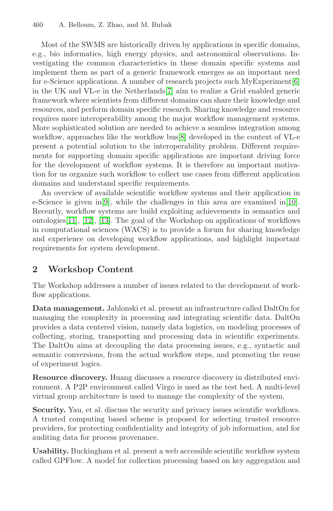#### 460 A. Belloum, [Z.](#page-3-6) [Z](#page-3-6)hao, and M. Bubak

Most of the SWMS are historically driven by applications in specific domains, e.g., bio informatics, high energy physics, and astronomical observations. Investigating the common [c](#page-3-7)haracteristics in these domain specific systems and implement them as part of a generic framework emerges as an important need for e-Science applications. A number of research projects such MyExperiment[6] in the UK and VL-e in the Netherlands[7] aim to realize a Grid enabled generic framework where scientists from different domains can share their knowledge and resources, and perform domain specific research. Sharing knowledge and resource requires more interoperability among the major workflow management systems. [Mor](#page-3-8)e sophisticated solution are needed to achieve a sea[mles](#page-3-9)s integration among workflow, approaches like the workflow bus[8] developed in the context of VL-e [pres](#page-3-10)ent a potential solution to the interoperability problem. Different requirements for supporting domain specific applications are important driving force for the development of workflow systems. It is therefore an important motivation for us organize such workflow to collect use cases from different application domains and understand specific requirements.

An overview of available scientific workflow systems and their application in e-Science is given in  $[9]$ , while the challenges in this area are examined in  $[10]$ . Recently, workflow systems are build exploiting achievements in semantics and ontologies[11], [12], [13]. The goal of the Workshop on applications of workflows in computational sciences (WACS) is to provide a forum for sharing knowledge and experience on developing workflow applications, and highlight important requirements for system development.

### **2 Workshop Content**

The Workshop addresses a number of issues related to the development of workflow applications.

**Data management.** Jablonski et al. present an infrastructure called DaltOn for managing the complexity in processing and integrating scientific data. DaltOn provides a data centered vision, namely data logistics, on modeling processes of collecting, storing, transporting and processing data in scientific experiments. The DaltOn aims at decoupling the data processing issues, e.g., syntactic and semantic conversions, from the actual workflow steps, and promoting the reuse of experiment logics.

**Resource discovery.** Huang discusses a resource discovery in distributed environment. A P2P environment called Virgo is used as the test bed. A multi-level virtual group architecture is used to manage the complexity of the system.

**Security.** Yau, et al. discuss the security and privacy issues scientific workflows. A trusted computing based scheme is proposed for selecting trusted resource providers, for protecting confidentiality and integrity of job information, and for auditing data for process provenance.

**Usability.** Buckingham et al. present a web accessible scientific workflow system called GPFlow. A model for collection processing based on key aggregation and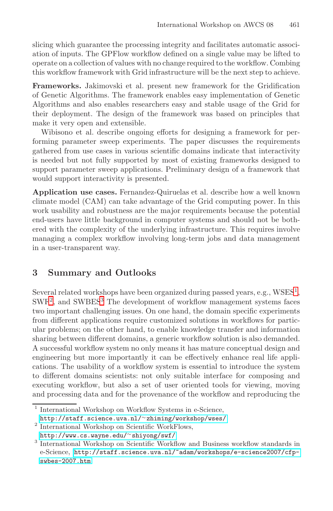slicing which guarantee the processing integrity and facilitates automatic association of inputs. The GPFlow workflow defined on a single value may be lifted to operate on a collection of values with no change required to the workflow. Combing this workflow framework with Grid infrastructure will be the next step to achieve.

**Frameworks.** Jakimovski et al. present new framework for the Gridification of Genetic Algorithms. The framework enables easy implementation of Genetic Algorithms and also enables researchers easy and stable usage of the Grid for their deployment. The design of the framework was based on principles that make it very open and extensible.

Wibisono et al. describe ongoing efforts for designing a framework for performing parameter sweep experiments. The paper discusses the requirements gathered from use cases in various scientific domains indicate that interactivity is needed but not fully supported by most of existing frameworks designed to support parameter sweep applications. Preliminary design of a framework that would support interactivity is presented.

**Application use cases.** Fernandez-Quiruelas et al. describe how a well known climate model (CAM) can take advantage of the Grid computing power. In this work usability and robustness are the major requirements because the potential end-users have little background in computer systems an[d s](#page-2-0)hould not be bothe[re](#page-2-1)d with the complexity of the underlying infrastructure. This requires involve managing a complex workflow involving long-term jobs and data management in a user-transparent way.

## **3 Summary and Outlooks**

<span id="page-2-0"></span>Several related workshops have been organized during passed years, e.g.,  $WSES^1$ ,  $\text{SWF}^2$ , and  $\text{SWBES}^3$  The development of workflow management systems faces two important challenging issues. On one hand, the domain specific experiments from different applications require customized solutions in workflows for particular problems; on the other hand, to enable knowledge transfer and information sharing between different domains, a generic workflow solution is also demanded. [A successful workflow system no only m](http://staff.science.uva.nl/~zhiming/workshop/wses/)eans it has mature conceptual design and engineering but more importantly it can be effectively enhance real life appli[cations. The usability of](http://www.cs.wayne.edu/~shiyong/swf/) a workflow system is essential to introduce the system to different domains scientists: not only suitable interface for composing and [executing](http://staff.science.uva.nl/~adam/workshops/e-science2007/cfp-swbes-2007.htm) [workflow,](http://staff.science.uva.nl/~adam/workshops/e-science2007/cfp-swbes-2007.htm) [but](http://staff.science.uva.nl/~adam/workshops/e-science2007/cfp-swbes-2007.htm) [also](http://staff.science.uva.nl/~adam/workshops/e-science2007/cfp-swbes-2007.htm) [a](http://staff.science.uva.nl/~adam/workshops/e-science2007/cfp-swbes-2007.htm) [set](http://staff.science.uva.nl/~adam/workshops/e-science2007/cfp-swbes-2007.htm) [of](http://staff.science.uva.nl/~adam/workshops/e-science2007/cfp-swbes-2007.htm) [user](http://staff.science.uva.nl/~adam/workshops/e-science2007/cfp-swbes-2007.htm) [oriented](http://staff.science.uva.nl/~adam/workshops/e-science2007/cfp-swbes-2007.htm) [tools](http://staff.science.uva.nl/~adam/workshops/e-science2007/cfp-swbes-2007.htm) [fo](http://staff.science.uva.nl/~adam/workshops/e-science2007/cfp-swbes-2007.htm)r viewing, moving and processing data and for the provenance of the workflow and reproducing the

<span id="page-2-1"></span><sup>1</sup> International Workshop on Workflow Systems in e-Science,

http://staff.science.uva.nl/<sup>∼</sup>zhiming/workshop/wses/

 $^2$  International Workshop on Scientific WorkFlows,  $\,$ 

http://www.cs.wayne.edu/<sup>∼</sup>shiyong/swf/

<sup>3</sup> International Workshop on Scientific Workflow and Business workflow standards in e-Science, http://staff.science.uva.nl/~adam/workshops/e-science2007/cfpswbes-2007.htm